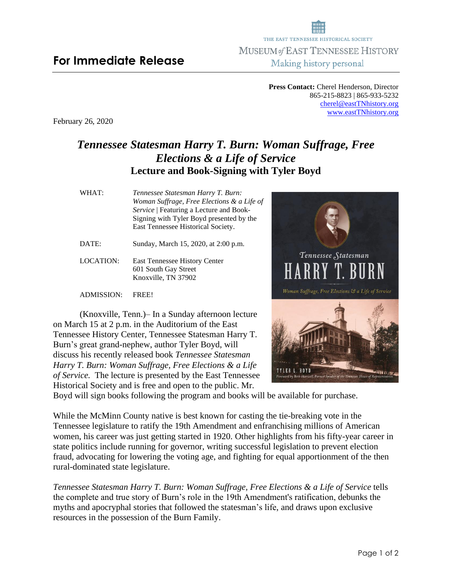Page 1 of 2

**Press Contact:** Cherel Henderson, Director 865-215-8823 | 865-933-5232 [cherel@eastTNhistory.org](mailto:cherel@eastTNhistory.org) [www.eastTNhistory.org](http://www.easttnhistory.org/)

THE EAST TENNESSEE HISTORICAL SOCIETY MUSEUM of EAST TENNESSEE HISTORY Making history personal

February 26, 2020

## *Tennessee Statesman Harry T. Burn: Woman Suffrage, Free Elections & a Life of Service* **Lecture and Book-Signing with Tyler Boyd**

| WHAT:     | Tennessee Statesman Harry T. Burn:<br>Woman Suffrage, Free Elections & a Life of<br>Service   Featuring a Lecture and Book-<br>Signing with Tyler Boyd presented by the<br>East Tennessee Historical Society. |
|-----------|---------------------------------------------------------------------------------------------------------------------------------------------------------------------------------------------------------------|
| DATE:     | Sunday, March 15, 2020, at 2:00 p.m.                                                                                                                                                                          |
| LOCATION: | <b>East Tennessee History Center</b><br>601 South Gay Street<br>Knoxville, TN 37902                                                                                                                           |

ADMISSION: FREE!

(Knoxville, Tenn.)– In a Sunday afternoon lecture on March 15 at 2 p.m. in the Auditorium of the East Tennessee History Center, Tennessee Statesman Harry T. Burn's great grand-nephew, author Tyler Boyd, will discuss his recently released book *Tennessee Statesman Harry T. Burn: Woman Suffrage, Free Elections & a Life of Service.* The lecture is presented by the East Tennessee Historical Society and is free and open to the public. Mr.

Boyd will sign books following the program and books will be available for purchase.

While the McMinn County native is best known for casting the tie-breaking vote in the Tennessee legislature to ratify the 19th Amendment and enfranchising millions of American women, his career was just getting started in 1920. Other highlights from his fifty-year career in state politics include running for governor, writing successful legislation to prevent election fraud, advocating for lowering the voting age, and fighting for equal apportionment of the then rural-dominated state legislature.

*Tennessee Statesman Harry T. Burn: Woman Suffrage, Free Elections & a Life of Service* tells the complete and true story of Burn's role in the 19th Amendment's ratification, debunks the myths and apocryphal stories that followed the statesman's life, and draws upon exclusive resources in the possession of the Burn Family.